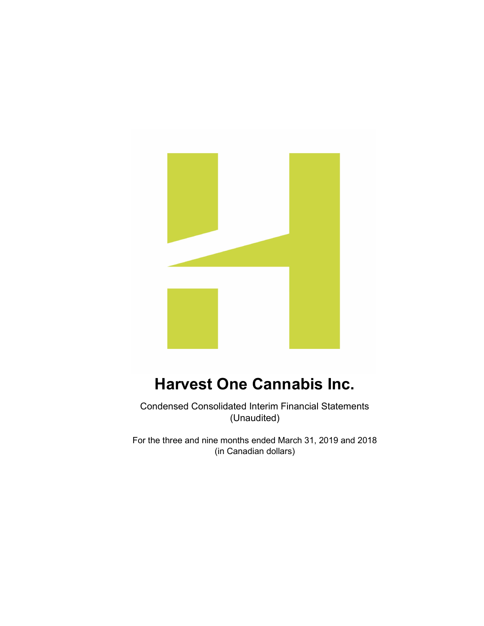

Condensed Consolidated Interim Financial Statements (Unaudited)

For the three and nine months ended March 31, 2019 and 2018 (in Canadian dollars)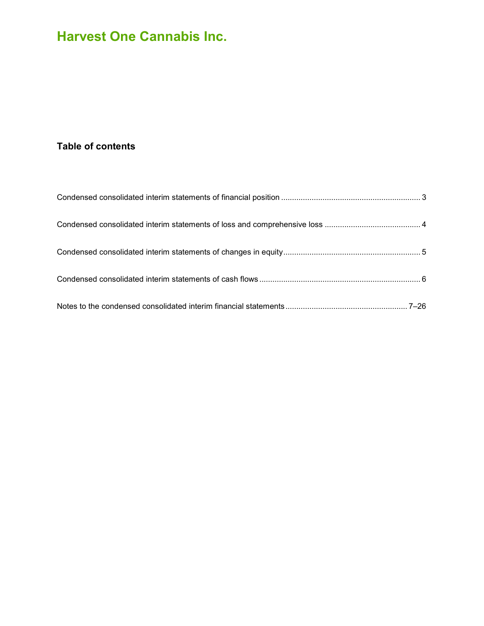# Table of contents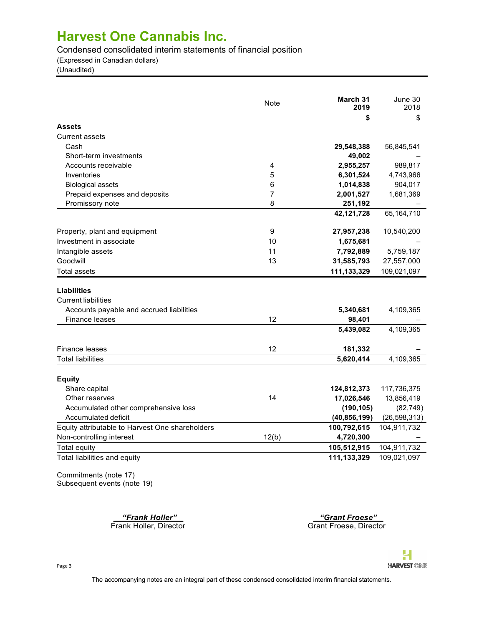Condensed consolidated interim statements of financial position

(Expressed in Canadian dollars)

(Unaudited)

|                                                 | Note  | March 31<br>2019 | June 30<br>2018 |
|-------------------------------------------------|-------|------------------|-----------------|
|                                                 |       | \$               | \$              |
| <b>Assets</b>                                   |       |                  |                 |
| <b>Current assets</b>                           |       |                  |                 |
| Cash                                            |       | 29,548,388       | 56,845,541      |
| Short-term investments                          |       | 49,002           |                 |
| Accounts receivable                             | 4     | 2,955,257        | 989,817         |
| Inventories                                     | 5     | 6,301,524        | 4,743,966       |
| <b>Biological assets</b>                        | 6     | 1,014,838        | 904,017         |
| Prepaid expenses and deposits                   | 7     | 2,001,527        | 1,681,369       |
| Promissory note                                 | 8     | 251,192          |                 |
|                                                 |       | 42,121,728       | 65,164,710      |
| Property, plant and equipment                   | 9     | 27,957,238       | 10,540,200      |
| Investment in associate                         | 10    | 1,675,681        |                 |
| Intangible assets                               | 11    | 7,792,889        | 5,759,187       |
| Goodwill                                        | 13    | 31,585,793       | 27,557,000      |
| <b>Total assets</b>                             |       | 111,133,329      | 109,021,097     |
|                                                 |       |                  |                 |
| <b>Liabilities</b>                              |       |                  |                 |
| <b>Current liabilities</b>                      |       |                  |                 |
| Accounts payable and accrued liabilities        |       | 5,340,681        | 4,109,365       |
| <b>Finance leases</b>                           | 12    | 98,401           |                 |
|                                                 |       | 5,439,082        | 4,109,365       |
| Finance leases                                  | 12    | 181,332          |                 |
| <b>Total liabilities</b>                        |       | 5,620,414        | 4,109,365       |
| <b>Equity</b>                                   |       |                  |                 |
| Share capital                                   |       | 124,812,373      | 117,736,375     |
| Other reserves                                  | 14    | 17,026,546       | 13,856,419      |
| Accumulated other comprehensive loss            |       | (190, 105)       | (82, 749)       |
| Accumulated deficit                             |       | (40, 856, 199)   | (26, 598, 313)  |
| Equity attributable to Harvest One shareholders |       | 100,792,615      | 104,911,732     |
| Non-controlling interest                        | 12(b) | 4,720,300        |                 |
| <b>Total equity</b>                             |       | 105,512,915      | 104,911,732     |
|                                                 |       | 111,133,329      | 109,021,097     |
| Total liabilities and equity                    |       |                  |                 |

Commitments (note 17) Subsequent events (note 19)

Erank Holler" (Frank Holler" ) with the Search School (Frank Holler, Director of the Search School (Grant Froese<br>Trank Holler, Director (Grant Froese, Director of the Search School (Grant Froese, Director of the Search Sch

Grant Froese, Director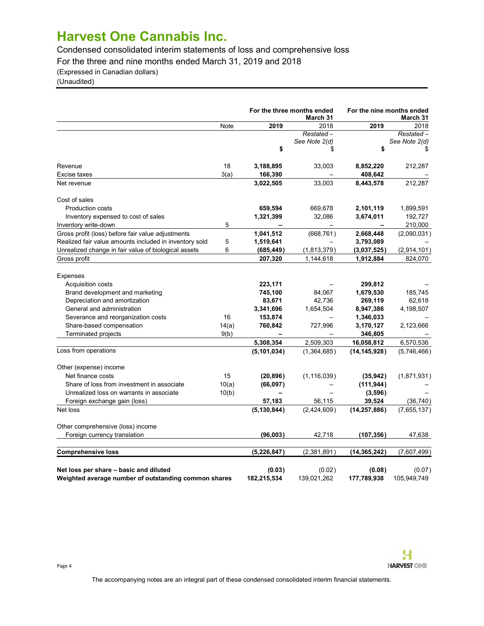Condensed consolidated interim statements of loss and comprehensive loss

For the three and nine months ended March 31, 2019 and 2018

(Expressed in Canadian dollars)

(Unaudited)

|                                                                                                |       | For the three months ended<br>March 31 |                       |                       | For the nine months ended<br>March 31 |
|------------------------------------------------------------------------------------------------|-------|----------------------------------------|-----------------------|-----------------------|---------------------------------------|
|                                                                                                | Note  | 2019                                   | 2018                  | 2019                  | 2018                                  |
|                                                                                                |       |                                        | Restated-             |                       | Restated –                            |
|                                                                                                |       |                                        | See Note 2(d)         |                       | See Note 2(d)                         |
|                                                                                                |       | \$                                     | \$                    | \$                    | \$                                    |
| Revenue                                                                                        | 18    | 3,188,895                              | 33,003                | 8,852,220             | 212,287                               |
| Excise taxes                                                                                   | 3(a)  | 166,390                                |                       | 408,642               |                                       |
| Net revenue                                                                                    |       | 3,022,505                              | 33,003                | 8,443,578             | 212,287                               |
| Cost of sales                                                                                  |       |                                        |                       |                       |                                       |
| <b>Production costs</b>                                                                        |       | 659,594                                | 669,678               | 2,101,119             | 1,899,591                             |
| Inventory expensed to cost of sales                                                            |       | 1,321,399                              | 32,086                | 3,674,011             | 192,727                               |
| Inventory write-down                                                                           | 5     |                                        |                       |                       | 210,000                               |
| Gross profit (loss) before fair value adjustments                                              |       | 1,041,512                              | (668, 761)            | 2,668,448             | (2,090,031)                           |
| Realized fair value amounts included in inventory sold                                         | 5     | 1,519,641                              |                       | 3,793,089             |                                       |
| Unrealized change in fair value of biological assets                                           | 6     | (685, 449)                             | (1,813,379)           | (3,037,525)           | (2,914,101)                           |
| Gross profit                                                                                   |       | 207,320                                | 1,144,618             | 1,912,884             | 824,070                               |
| <b>Expenses</b>                                                                                |       |                                        |                       |                       |                                       |
| Acquisition costs                                                                              |       | 223,171                                |                       | 299,812               |                                       |
| Brand development and marketing                                                                |       | 745,100                                | 84,067                | 1,679,530             | 185,745                               |
| Depreciation and amortization                                                                  |       | 83,671                                 | 42,736                | 269,119               | 62,618                                |
| General and administration                                                                     |       | 3,341,696                              | 1,654,504             | 8,947,386             | 4,198,507                             |
| Severance and reorganization costs                                                             | 16    | 153,874                                |                       | 1,346,033             |                                       |
| Share-based compensation                                                                       | 14(a) | 760,842                                | 727,996               | 3,170,127             | 2,123,666                             |
| Terminated projects                                                                            | 9(b)  | -                                      |                       | 346,805               |                                       |
|                                                                                                |       | 5,308,354                              | 2,509,303             | 16,058,812            | 6,570,536                             |
| Loss from operations                                                                           |       | (5, 101, 034)                          | (1,364,685)           | (14, 145, 928)        | (5,746,466)                           |
| Other (expense) income                                                                         |       |                                        |                       |                       |                                       |
| Net finance costs                                                                              | 15    | (20, 896)                              | (1, 116, 039)         | (35, 942)             | (1,871,931)                           |
| Share of loss from investment in associate                                                     | 10(a) | (66,097)                               |                       | (111, 944)            |                                       |
| Unrealized loss on warrants in associate                                                       | 10(b) |                                        |                       | (3,596)               |                                       |
| Foreign exchange gain (loss)                                                                   |       | 57,183                                 | 56,115                | 39,524                | (36, 740)                             |
| Net loss                                                                                       |       | (5, 130, 844)                          | (2,424,609)           | (14, 257, 886)        | (7,655,137)                           |
| Other comprehensive (loss) income                                                              |       |                                        |                       |                       |                                       |
| Foreign currency translation                                                                   |       | (96,003)                               | 42,718                | (107,356)             | 47,638                                |
| <b>Comprehensive loss</b>                                                                      |       | (5, 226, 847)                          | (2,381,891)           | (14,365,242)          | (7,607,499)                           |
| Net loss per share - basic and diluted<br>Weighted average number of outstanding common shares |       | (0.03)<br>182,215,534                  | (0.02)<br>139,021,262 | (0.08)<br>177,789,938 | (0.07)<br>105,949,749                 |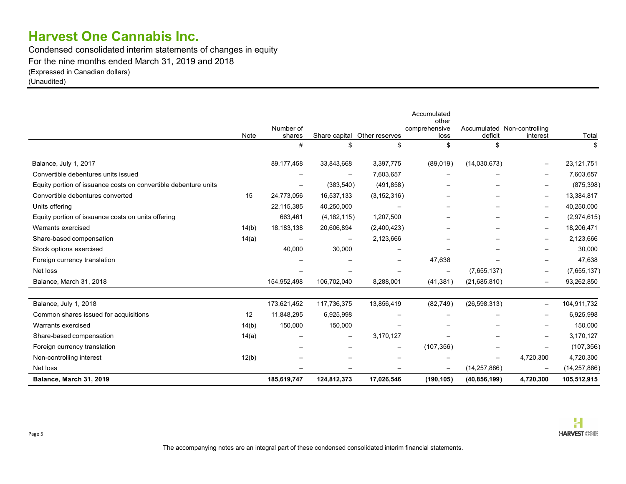Condensed consolidated interim statements of changes in equity For the nine months ended March 31, 2019 and 2018 (Expressed in Canadian dollars) (Unaudited)

|                                                                 |       |                          |                          |                              | Accumulated<br>other     |                             |                          |                |
|-----------------------------------------------------------------|-------|--------------------------|--------------------------|------------------------------|--------------------------|-----------------------------|--------------------------|----------------|
|                                                                 |       | Number of                |                          |                              | comprehensive            | Accumulated Non-controlling |                          |                |
|                                                                 | Note  | shares                   |                          | Share capital Other reserves | loss                     | deficit                     | interest                 | Total          |
|                                                                 |       | #                        |                          | \$                           | \$                       | \$                          |                          |                |
| Balance, July 1, 2017                                           |       | 89,177,458               | 33,843,668               | 3,397,775                    | (89,019)                 | (14,030,673)                | $\overline{\phantom{m}}$ | 23,121,751     |
| Convertible debentures units issued                             |       | $\overline{\phantom{0}}$ | $\overline{\phantom{0}}$ | 7,603,657                    |                          |                             | $\overline{\phantom{m}}$ | 7,603,657      |
| Equity portion of issuance costs on convertible debenture units |       | $\overline{\phantom{0}}$ | (383, 540)               | (491, 858)                   |                          | $\overline{\phantom{0}}$    | $\overline{\phantom{m}}$ | (875, 398)     |
| Convertible debentures converted                                | 15    | 24,773,056               | 16,537,133               | (3, 152, 316)                |                          | $\overline{\phantom{0}}$    | $\overline{\phantom{m}}$ | 13,384,817     |
| Units offering                                                  |       | 22,115,385               | 40,250,000               |                              | $\overline{\phantom{0}}$ | $\overline{\phantom{0}}$    | $\overline{\phantom{m}}$ | 40,250,000     |
| Equity portion of issuance costs on units offering              |       | 663,461                  | (4, 182, 115)            | 1,207,500                    | $\qquad \qquad$          | $\overline{\phantom{0}}$    | $\overline{\phantom{m}}$ | (2,974,615)    |
| Warrants exercised                                              | 14(b) | 18, 183, 138             | 20,606,894               | (2,400,423)                  | $\qquad \qquad -$        | $\overline{\phantom{0}}$    | $\overline{\phantom{m}}$ | 18,206,471     |
| Share-based compensation                                        | 14(a) | $\overline{\phantom{a}}$ |                          | 2,123,666                    |                          | $\overline{\phantom{0}}$    | $\overline{\phantom{m}}$ | 2,123,666      |
| Stock options exercised                                         |       | 40,000                   | 30,000                   | $\overline{\phantom{a}}$     | $\overline{\phantom{0}}$ |                             | $\overline{\phantom{a}}$ | 30,000         |
| Foreign currency translation                                    |       | $\overline{\phantom{0}}$ |                          | $\overline{\phantom{a}}$     | 47,638                   | $\equiv$                    | $\overline{\phantom{0}}$ | 47,638         |
| Net loss                                                        |       |                          |                          | $\overline{\phantom{a}}$     | $\qquad \qquad -$        | (7,655,137)                 | $\overline{\phantom{a}}$ | (7,655,137)    |
| Balance, March 31, 2018                                         |       | 154,952,498              | 106,702,040              | 8,288,001                    | (41, 381)                | (21, 685, 810)              | $\overline{\phantom{0}}$ | 93,262,850     |
| Balance, July 1, 2018                                           |       | 173,621,452              | 117,736,375              | 13,856,419                   | (82, 749)                | (26, 598, 313)              | $\overline{\phantom{m}}$ | 104,911,732    |
| Common shares issued for acquisitions                           | 12    | 11,848,295               | 6,925,998                |                              |                          |                             | $\overline{\phantom{a}}$ | 6,925,998      |
| Warrants exercised                                              | 14(b) | 150,000                  | 150,000                  | $\overline{\phantom{a}}$     |                          | $\overline{\phantom{0}}$    | $\overline{\phantom{a}}$ | 150,000        |
| Share-based compensation                                        | 14(a) | $\overline{\phantom{a}}$ | $\overline{\phantom{0}}$ | 3,170,127                    | $\overline{\phantom{0}}$ |                             | $\overline{\phantom{m}}$ | 3,170,127      |
| Foreign currency translation                                    |       | $\overline{\phantom{0}}$ |                          | $\overline{\phantom{a}}$     | (107, 356)               |                             | $\overline{\phantom{m}}$ | (107, 356)     |
| Non-controlling interest                                        | 12(b) | $\overline{\phantom{0}}$ |                          | $\overline{\phantom{a}}$     |                          |                             | 4,720,300                | 4,720,300      |
| Net loss                                                        |       | $\overline{\phantom{0}}$ | $\overline{\phantom{m}}$ | $\overline{\phantom{a}}$     | $\qquad \qquad -$        | (14, 257, 886)              | $\overline{\phantom{0}}$ | (14, 257, 886) |
| Balance, March 31, 2019                                         |       | 185,619,747              | 124,812,373              | 17,026,546                   | (190, 105)               | (40, 856, 199)              | 4,720,300                | 105,512,915    |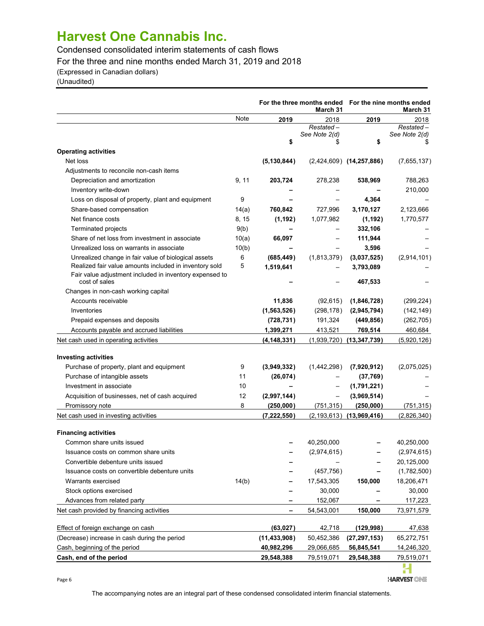Condensed consolidated interim statements of cash flows

For the three and nine months ended March 31, 2019 and 2018

(Expressed in Canadian dollars)

(Unaudited)

|                                                                                                                |            |                | For the three months ended For the nine months ended<br>March 31 |                                  | March 31      |
|----------------------------------------------------------------------------------------------------------------|------------|----------------|------------------------------------------------------------------|----------------------------------|---------------|
|                                                                                                                | Note       | 2019           | 2018                                                             | 2019                             | 2018          |
|                                                                                                                |            |                | $Restated -$                                                     |                                  | $Restated -$  |
|                                                                                                                |            | \$             | See Note 2(d)                                                    | \$                               | See Note 2(d) |
| <b>Operating activities</b>                                                                                    |            |                |                                                                  |                                  |               |
| Net loss                                                                                                       |            | (5, 130, 844)  |                                                                  | $(2,424,609)$ $(14,257,886)$     | (7,655,137)   |
| Adjustments to reconcile non-cash items                                                                        |            |                |                                                                  |                                  |               |
| Depreciation and amortization                                                                                  | 9, 11      | 203,724        | 278,238                                                          | 538,969                          | 788,263       |
| Inventory write-down                                                                                           |            |                |                                                                  |                                  | 210,000       |
| Loss on disposal of property, plant and equipment                                                              | 9          |                |                                                                  | 4,364                            |               |
| Share-based compensation                                                                                       | 14(a)      | 760,842        | 727,996                                                          | 3,170,127                        | 2,123,666     |
| Net finance costs                                                                                              | 8, 15      | (1, 192)       | 1,077,982                                                        | (1, 192)                         | 1,770,577     |
| Terminated projects                                                                                            | 9(b)       |                |                                                                  | 332,106                          |               |
| Share of net loss from investment in associate                                                                 |            | 66,097         |                                                                  | 111,944                          |               |
| Unrealized loss on warrants in associate                                                                       | 10(a)      |                |                                                                  | 3,596                            |               |
|                                                                                                                | 10(b)<br>6 | (685, 449)     |                                                                  | (3,037,525)                      |               |
| Unrealized change in fair value of biological assets<br>Realized fair value amounts included in inventory sold | 5          | 1,519,641      | (1,813,379)                                                      |                                  | (2,914,101)   |
| Fair value adjustment included in inventory expensed to                                                        |            |                |                                                                  | 3,793,089                        |               |
| cost of sales                                                                                                  |            |                |                                                                  | 467,533                          |               |
| Changes in non-cash working capital                                                                            |            |                |                                                                  |                                  |               |
| Accounts receivable                                                                                            |            | 11,836         | (92, 615)                                                        | (1,846,728)                      | (299, 224)    |
| Inventories                                                                                                    |            | (1, 563, 526)  | (298, 178)                                                       | (2,945,794)                      | (142, 149)    |
| Prepaid expenses and deposits                                                                                  |            | (728, 731)     | 191,324                                                          | (449, 856)                       | (262, 705)    |
| Accounts payable and accrued liabilities                                                                       |            | 1,399,271      | 413,521                                                          | 769,514                          | 460,684       |
| Net cash used in operating activities                                                                          |            | (4, 148, 331)  |                                                                  | $(1,939,720)$ $(13,347,739)$     | (5,920,126)   |
| <b>Investing activities</b>                                                                                    |            |                |                                                                  |                                  |               |
| Purchase of property, plant and equipment                                                                      | 9          | (3,949,332)    | (1,442,298)                                                      | (7,920,912)                      | (2,075,025)   |
| Purchase of intangible assets                                                                                  | 11         | (26, 074)      |                                                                  | (37,769)                         |               |
| Investment in associate                                                                                        | 10         |                |                                                                  | (1,791,221)                      |               |
| Acquisition of businesses, net of cash acquired                                                                | 12         | (2,997,144)    | $\qquad \qquad -$                                                | (3,969,514)                      |               |
| Promissory note                                                                                                | 8          | (250,000)      | (751,315)                                                        | (250,000)                        | (751,315)     |
| Net cash used in investing activities                                                                          |            | (7, 222, 550)  |                                                                  | $(2, 193, 613)$ $(13, 969, 416)$ | (2,826,340)   |
| <b>Financing activities</b>                                                                                    |            |                |                                                                  |                                  |               |
| Common share units issued                                                                                      |            |                | 40,250,000                                                       |                                  | 40,250,000    |
| Issuance costs on common share units                                                                           |            |                | (2,974,615)                                                      |                                  | (2,974,615)   |
| Convertible debenture units issued                                                                             |            |                |                                                                  |                                  | 20,125,000    |
| Issuance costs on convertible debenture units                                                                  |            |                | (457, 756)                                                       |                                  | (1,782,500)   |
| Warrants exercised                                                                                             | 14(b)      |                | 17,543,305                                                       | 150,000                          | 18,206,471    |
| Stock options exercised                                                                                        |            |                | 30,000                                                           |                                  | 30,000        |
| Advances from related party                                                                                    |            |                | 152,067                                                          |                                  | 117,223       |
| Net cash provided by financing activities                                                                      |            |                | 54,543,001                                                       | 150,000                          | 73,971,579    |
| Effect of foreign exchange on cash                                                                             |            | (63, 027)      | 42,718                                                           | (129, 998)                       | 47,638        |
| (Decrease) increase in cash during the period                                                                  |            | (11, 433, 908) | 50,452,386                                                       | (27, 297, 153)                   | 65,272,751    |
| Cash, beginning of the period                                                                                  |            | 40,982,296     | 29,066,685                                                       | 56,845,541                       | 14,246,320    |
| Cash, end of the period                                                                                        |            | 29,548,388     | 79,519,071                                                       | 29,548,388                       | 79,519,071    |
|                                                                                                                |            |                |                                                                  |                                  | υ.            |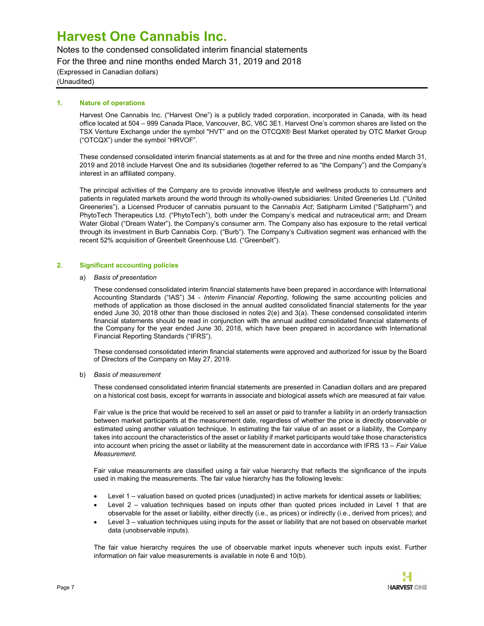Notes to the condensed consolidated interim financial statements

For the three and nine months ended March 31, 2019 and 2018

(Expressed in Canadian dollars) (Unaudited)

### 1. Nature of operations

Harvest One Cannabis Inc. ("Harvest One") is a publicly traded corporation, incorporated in Canada, with its head office located at 504 – 999 Canada Place, Vancouver, BC, V6C 3E1. Harvest One's common shares are listed on the TSX Venture Exchange under the symbol "HVT" and on the OTCQX® Best Market operated by OTC Market Group ("OTCQX") under the symbol "HRVOF".

These condensed consolidated interim financial statements as at and for the three and nine months ended March 31, 2019 and 2018 include Harvest One and its subsidiaries (together referred to as "the Company") and the Company's interest in an affiliated company.

The principal activities of the Company are to provide innovative lifestyle and wellness products to consumers and patients in regulated markets around the world through its wholly-owned subsidiaries: United Greeneries Ltd. ("United Greeneries"), a Licensed Producer of cannabis pursuant to the Cannabis Act; Satipharm Limited ("Satipharm") and PhytoTech Therapeutics Ltd. ("PhytoTech"), both under the Company's medical and nutraceutical arm; and Dream Water Global ("Dream Water"), the Company's consumer arm. The Company also has exposure to the retail vertical through its investment in Burb Cannabis Corp. ("Burb"). The Company's Cultivation segment was enhanced with the recent 52% acquisition of Greenbelt Greenhouse Ltd. ("Greenbelt").

## 2. Significant accounting policies

### a) Basis of presentation

These condensed consolidated interim financial statements have been prepared in accordance with International Accounting Standards ("IAS") 34 - Interim Financial Reporting, following the same accounting policies and methods of application as those disclosed in the annual audited consolidated financial statements for the year ended June 30, 2018 other than those disclosed in notes 2(e) and 3(a). These condensed consolidated interim financial statements should be read in conjunction with the annual audited consolidated financial statements of the Company for the year ended June 30, 2018, which have been prepared in accordance with International Financial Reporting Standards ("IFRS").

These condensed consolidated interim financial statements were approved and authorized for issue by the Board of Directors of the Company on May 27, 2019.

## b) Basis of measurement

These condensed consolidated interim financial statements are presented in Canadian dollars and are prepared on a historical cost basis, except for warrants in associate and biological assets which are measured at fair value.

Fair value is the price that would be received to sell an asset or paid to transfer a liability in an orderly transaction between market participants at the measurement date, regardless of whether the price is directly observable or estimated using another valuation technique. In estimating the fair value of an asset or a liability, the Company takes into account the characteristics of the asset or liability if market participants would take those characteristics into account when pricing the asset or liability at the measurement date in accordance with IFRS 13 – Fair Value Measurement.

Fair value measurements are classified using a fair value hierarchy that reflects the significance of the inputs used in making the measurements. The fair value hierarchy has the following levels:

- Level 1 valuation based on quoted prices (unadjusted) in active markets for identical assets or liabilities;
- Level 2 valuation techniques based on inputs other than quoted prices included in Level 1 that are observable for the asset or liability, either directly (i.e., as prices) or indirectly (i.e., derived from prices); and
- Level 3 valuation techniques using inputs for the asset or liability that are not based on observable market data (unobservable inputs).

The fair value hierarchy requires the use of observable market inputs whenever such inputs exist. Further information on fair value measurements is available in note 6 and 10(b).

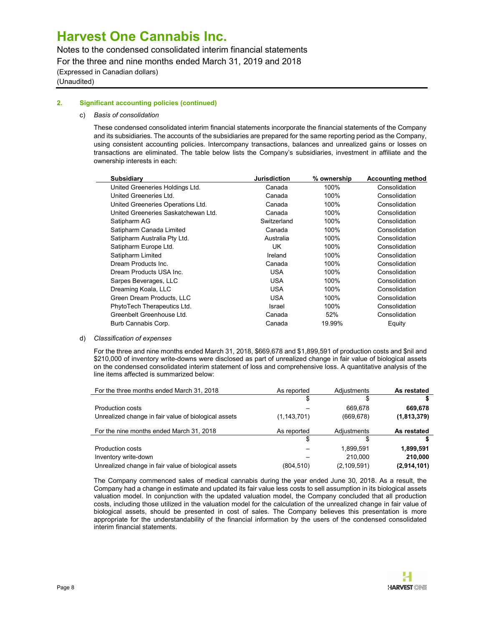Notes to the condensed consolidated interim financial statements

For the three and nine months ended March 31, 2019 and 2018

(Expressed in Canadian dollars) (Unaudited)

## 2. Significant accounting policies (continued)

## c) Basis of consolidation

These condensed consolidated interim financial statements incorporate the financial statements of the Company and its subsidiaries. The accounts of the subsidiaries are prepared for the same reporting period as the Company, using consistent accounting policies. Intercompany transactions, balances and unrealized gains or losses on transactions are eliminated. The table below lists the Company's subsidiaries, investment in affiliate and the ownership interests in each:

| <b>Subsidiary</b>                   | <b>Jurisdiction</b> | % ownership | <b>Accounting method</b> |
|-------------------------------------|---------------------|-------------|--------------------------|
| United Greeneries Holdings Ltd.     | Canada              | 100%        | Consolidation            |
| United Greeneries Ltd.              | Canada              | 100%        | Consolidation            |
| United Greeneries Operations Ltd.   | Canada              | 100%        | Consolidation            |
| United Greeneries Saskatchewan Ltd. | Canada              | 100%        | Consolidation            |
| Satipharm AG                        | Switzerland         | 100%        | Consolidation            |
| Satipharm Canada Limited            | Canada              | 100%        | Consolidation            |
| Satipharm Australia Pty Ltd.        | Australia           | 100%        | Consolidation            |
| Satipharm Europe Ltd.               | UK                  | 100%        | Consolidation            |
| Satipharm Limited                   | Ireland             | 100%        | Consolidation            |
| Dream Products Inc.                 | Canada              | 100%        | Consolidation            |
| Dream Products USA Inc.             | <b>USA</b>          | 100%        | Consolidation            |
| Sarpes Beverages, LLC               | <b>USA</b>          | 100%        | Consolidation            |
| Dreaming Koala, LLC                 | <b>USA</b>          | 100%        | Consolidation            |
| Green Dream Products, LLC           | <b>USA</b>          | 100%        | Consolidation            |
| PhytoTech Therapeutics Ltd.         | Israel              | 100%        | Consolidation            |
| Greenbelt Greenhouse Ltd.           | Canada              | 52%         | Consolidation            |
| Burb Cannabis Corp.                 | Canada              | 19.99%      | Equity                   |
|                                     |                     |             |                          |

d) Classification of expenses

For the three and nine months ended March 31, 2018, \$669,678 and \$1,899,591 of production costs and \$nil and \$210,000 of inventory write-downs were disclosed as part of unrealized change in fair value of biological assets on the condensed consolidated interim statement of loss and comprehensive loss. A quantitative analysis of the line items affected is summarized below:

| For the three months ended March 31, 2018            | As reported   | Adiustments   | As restated |
|------------------------------------------------------|---------------|---------------|-------------|
|                                                      | \$            | S             |             |
| <b>Production costs</b>                              |               | 669.678       | 669,678     |
| Unrealized change in fair value of biological assets | (1, 143, 701) | (669, 678)    | (1,813,379) |
| For the nine months ended March 31, 2018             | As reported   | Adiustments   | As restated |
|                                                      |               | \$            |             |
| <b>Production costs</b>                              |               | 1,899,591     | 1,899,591   |
| Inventory write-down                                 |               | 210.000       | 210,000     |
| Unrealized change in fair value of biological assets | (804, 510)    | (2, 109, 591) | (2,914,101) |

The Company commenced sales of medical cannabis during the year ended June 30, 2018. As a result, the Company had a change in estimate and updated its fair value less costs to sell assumption in its biological assets valuation model. In conjunction with the updated valuation model, the Company concluded that all production costs, including those utilized in the valuation model for the calculation of the unrealized change in fair value of biological assets, should be presented in cost of sales. The Company believes this presentation is more appropriate for the understandability of the financial information by the users of the condensed consolidated interim financial statements.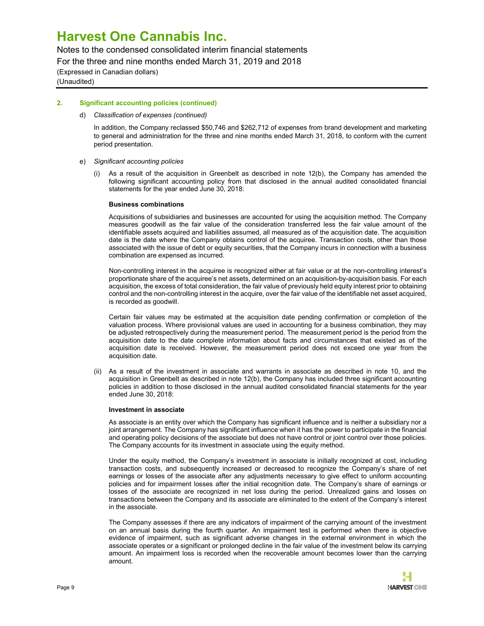Notes to the condensed consolidated interim financial statements

For the three and nine months ended March 31, 2019 and 2018

(Expressed in Canadian dollars) (Unaudited)

### 2. Significant accounting policies (continued)

d) Classification of expenses (continued)

In addition, the Company reclassed \$50,746 and \$262,712 of expenses from brand development and marketing to general and administration for the three and nine months ended March 31, 2018, to conform with the current period presentation.

- e) Significant accounting policies
	- (i) As a result of the acquisition in Greenbelt as described in note 12(b), the Company has amended the following significant accounting policy from that disclosed in the annual audited consolidated financial statements for the year ended June 30, 2018:

#### Business combinations

Acquisitions of subsidiaries and businesses are accounted for using the acquisition method. The Company measures goodwill as the fair value of the consideration transferred less the fair value amount of the identifiable assets acquired and liabilities assumed, all measured as of the acquisition date. The acquisition date is the date where the Company obtains control of the acquiree. Transaction costs, other than those associated with the issue of debt or equity securities, that the Company incurs in connection with a business combination are expensed as incurred.

Non-controlling interest in the acquiree is recognized either at fair value or at the non-controlling interest's proportionate share of the acquiree's net assets, determined on an acquisition-by-acquisition basis. For each acquisition, the excess of total consideration, the fair value of previously held equity interest prior to obtaining control and the non-controlling interest in the acquire, over the fair value of the identifiable net asset acquired, is recorded as goodwill.

Certain fair values may be estimated at the acquisition date pending confirmation or completion of the valuation process. Where provisional values are used in accounting for a business combination, they may be adjusted retrospectively during the measurement period. The measurement period is the period from the acquisition date to the date complete information about facts and circumstances that existed as of the acquisition date is received. However, the measurement period does not exceed one year from the acquisition date.

(ii) As a result of the investment in associate and warrants in associate as described in note 10, and the acquisition in Greenbelt as described in note 12(b), the Company has included three significant accounting policies in addition to those disclosed in the annual audited consolidated financial statements for the year ended June 30, 2018:

#### Investment in associate

As associate is an entity over which the Company has significant influence and is neither a subsidiary nor a joint arrangement. The Company has significant influence when it has the power to participate in the financial and operating policy decisions of the associate but does not have control or joint control over those policies. The Company accounts for its investment in associate using the equity method.

Under the equity method, the Company's investment in associate is initially recognized at cost, including transaction costs, and subsequently increased or decreased to recognize the Company's share of net earnings or losses of the associate after any adjustments necessary to give effect to uniform accounting policies and for impairment losses after the initial recognition date. The Company's share of earnings or losses of the associate are recognized in net loss during the period. Unrealized gains and losses on transactions between the Company and its associate are eliminated to the extent of the Company's interest in the associate.

The Company assesses if there are any indicators of impairment of the carrying amount of the investment on an annual basis during the fourth quarter. An impairment test is performed when there is objective evidence of impairment, such as significant adverse changes in the external environment in which the associate operates or a significant or prolonged decline in the fair value of the investment below its carrying amount. An impairment loss is recorded when the recoverable amount becomes lower than the carrying amount.

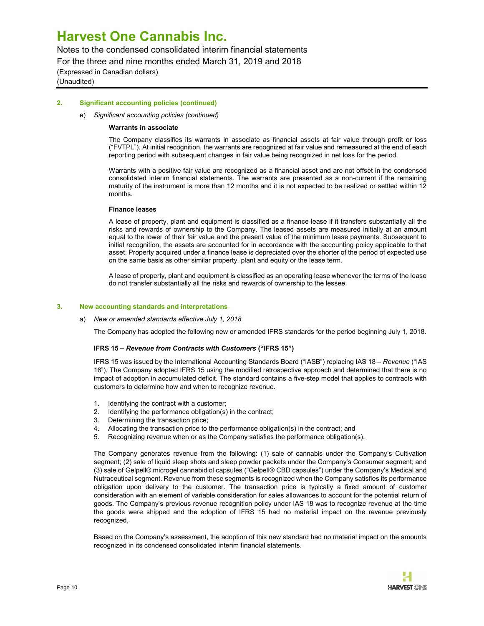Notes to the condensed consolidated interim financial statements

For the three and nine months ended March 31, 2019 and 2018

(Expressed in Canadian dollars) (Unaudited)

### 2. Significant accounting policies (continued)

#### e) Significant accounting policies (continued)

#### Warrants in associate

The Company classifies its warrants in associate as financial assets at fair value through profit or loss ("FVTPL"). At initial recognition, the warrants are recognized at fair value and remeasured at the end of each reporting period with subsequent changes in fair value being recognized in net loss for the period.

Warrants with a positive fair value are recognized as a financial asset and are not offset in the condensed consolidated interim financial statements. The warrants are presented as a non-current if the remaining maturity of the instrument is more than 12 months and it is not expected to be realized or settled within 12 months.

#### Finance leases

A lease of property, plant and equipment is classified as a finance lease if it transfers substantially all the risks and rewards of ownership to the Company. The leased assets are measured initially at an amount equal to the lower of their fair value and the present value of the minimum lease payments. Subsequent to initial recognition, the assets are accounted for in accordance with the accounting policy applicable to that asset. Property acquired under a finance lease is depreciated over the shorter of the period of expected use on the same basis as other similar property, plant and equity or the lease term.

A lease of property, plant and equipment is classified as an operating lease whenever the terms of the lease do not transfer substantially all the risks and rewards of ownership to the lessee.

#### 3. New accounting standards and interpretations

#### a) New or amended standards effective July 1, 2018

The Company has adopted the following new or amended IFRS standards for the period beginning July 1, 2018.

#### IFRS 15 – Revenue from Contracts with Customers ("IFRS 15")

IFRS 15 was issued by the International Accounting Standards Board ("IASB") replacing IAS 18 – Revenue ("IAS 18"). The Company adopted IFRS 15 using the modified retrospective approach and determined that there is no impact of adoption in accumulated deficit. The standard contains a five-step model that applies to contracts with customers to determine how and when to recognize revenue.

- 1. Identifying the contract with a customer;
- 2. Identifying the performance obligation(s) in the contract;
- 3. Determining the transaction price;
- 4. Allocating the transaction price to the performance obligation(s) in the contract; and
- 5. Recognizing revenue when or as the Company satisfies the performance obligation(s).

The Company generates revenue from the following: (1) sale of cannabis under the Company's Cultivation segment; (2) sale of liquid sleep shots and sleep powder packets under the Company's Consumer segment; and (3) sale of Gelpell® microgel cannabidiol capsules ("Gelpell® CBD capsules") under the Company's Medical and Nutraceutical segment. Revenue from these segments is recognized when the Company satisfies its performance obligation upon delivery to the customer. The transaction price is typically a fixed amount of customer consideration with an element of variable consideration for sales allowances to account for the potential return of goods. The Company's previous revenue recognition policy under IAS 18 was to recognize revenue at the time the goods were shipped and the adoption of IFRS 15 had no material impact on the revenue previously recognized.

Based on the Company's assessment, the adoption of this new standard had no material impact on the amounts recognized in its condensed consolidated interim financial statements.

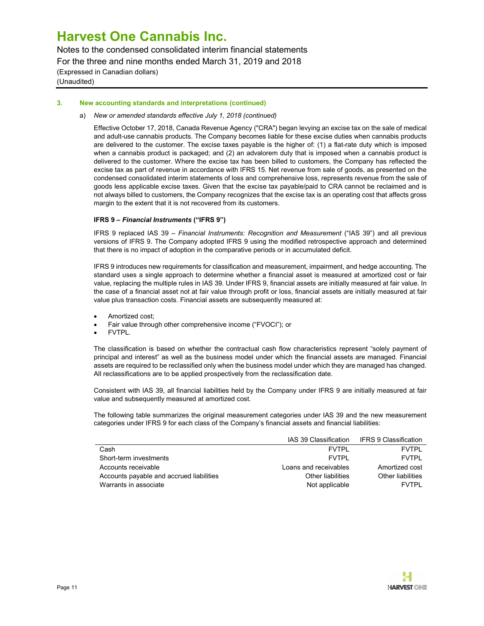Notes to the condensed consolidated interim financial statements For the three and nine months ended March 31, 2019 and 2018 (Expressed in Canadian dollars) (Unaudited)

### 3. New accounting standards and interpretations (continued)

### a) New or amended standards effective July 1, 2018 (continued)

Effective October 17, 2018, Canada Revenue Agency ("CRA") began levying an excise tax on the sale of medical and adult-use cannabis products. The Company becomes liable for these excise duties when cannabis products are delivered to the customer. The excise taxes payable is the higher of: (1) a flat-rate duty which is imposed when a cannabis product is packaged; and (2) an advalorem duty that is imposed when a cannabis product is delivered to the customer. Where the excise tax has been billed to customers, the Company has reflected the excise tax as part of revenue in accordance with IFRS 15. Net revenue from sale of goods, as presented on the condensed consolidated interim statements of loss and comprehensive loss, represents revenue from the sale of goods less applicable excise taxes. Given that the excise tax payable/paid to CRA cannot be reclaimed and is not always billed to customers, the Company recognizes that the excise tax is an operating cost that affects gross margin to the extent that it is not recovered from its customers.

### IFRS 9 – Financial Instruments ("IFRS 9")

IFRS 9 replaced IAS 39 – Financial Instruments: Recognition and Measurement ("IAS 39") and all previous versions of IFRS 9. The Company adopted IFRS 9 using the modified retrospective approach and determined that there is no impact of adoption in the comparative periods or in accumulated deficit.

IFRS 9 introduces new requirements for classification and measurement, impairment, and hedge accounting. The standard uses a single approach to determine whether a financial asset is measured at amortized cost or fair value, replacing the multiple rules in IAS 39. Under IFRS 9, financial assets are initially measured at fair value. In the case of a financial asset not at fair value through profit or loss, financial assets are initially measured at fair value plus transaction costs. Financial assets are subsequently measured at:

- Amortized cost;
- Fair value through other comprehensive income ("FVOCI"); or
- **FVTPL.**

The classification is based on whether the contractual cash flow characteristics represent "solely payment of principal and interest" as well as the business model under which the financial assets are managed. Financial assets are required to be reclassified only when the business model under which they are managed has changed. All reclassifications are to be applied prospectively from the reclassification date.

Consistent with IAS 39, all financial liabilities held by the Company under IFRS 9 are initially measured at fair value and subsequently measured at amortized cost.

The following table summarizes the original measurement categories under IAS 39 and the new measurement categories under IFRS 9 for each class of the Company's financial assets and financial liabilities:

|                                          |                       | IAS 39 Classification IFRS 9 Classification |
|------------------------------------------|-----------------------|---------------------------------------------|
| Cash                                     | <b>FVTPI</b>          | <b>FVTPI</b>                                |
| Short-term investments                   | FVTPI                 | <b>FVTPI</b>                                |
| Accounts receivable                      | Loans and receivables | Amortized cost                              |
| Accounts payable and accrued liabilities | Other liabilities     | Other liabilities                           |
| Warrants in associate                    | Not applicable        | <b>FVTPI</b>                                |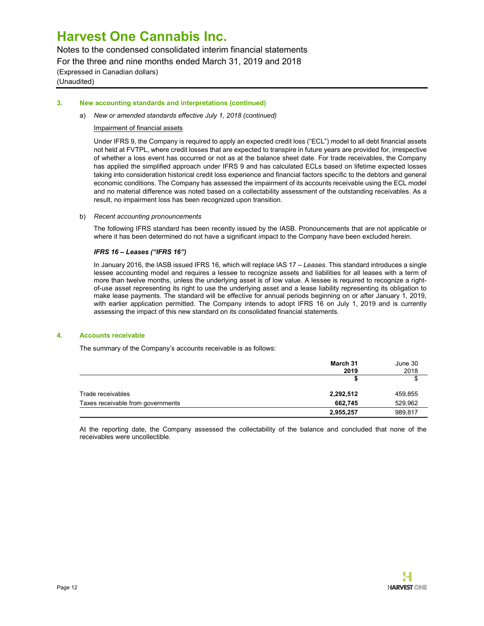Notes to the condensed consolidated interim financial statements For the three and nine months ended March 31, 2019 and 2018 (Expressed in Canadian dollars) (Unaudited)

#### 3. New accounting standards and interpretations (continued)

#### a) New or amended standards effective July 1, 2018 (continued)

#### Impairment of financial assets

Under IFRS 9, the Company is required to apply an expected credit loss ("ECL") model to all debt financial assets not held at FVTPL, where credit losses that are expected to transpire in future years are provided for, irrespective of whether a loss event has occurred or not as at the balance sheet date. For trade receivables, the Company has applied the simplified approach under IFRS 9 and has calculated ECLs based on lifetime expected losses taking into consideration historical credit loss experience and financial factors specific to the debtors and general economic conditions. The Company has assessed the impairment of its accounts receivable using the ECL model and no material difference was noted based on a collectability assessment of the outstanding receivables. As a result, no impairment loss has been recognized upon transition.

#### b) Recent accounting pronouncements

The following IFRS standard has been recently issued by the IASB. Pronouncements that are not applicable or where it has been determined do not have a significant impact to the Company have been excluded herein.

### IFRS 16 – Leases ("IFRS 16")

In January 2016, the IASB issued IFRS 16, which will replace IAS 17 - Leases. This standard introduces a single lessee accounting model and requires a lessee to recognize assets and liabilities for all leases with a term of more than twelve months, unless the underlying asset is of low value. A lessee is required to recognize a rightof-use asset representing its right to use the underlying asset and a lease liability representing its obligation to make lease payments. The standard will be effective for annual periods beginning on or after January 1, 2019, with earlier application permitted. The Company intends to adopt IFRS 16 on July 1, 2019 and is currently assessing the impact of this new standard on its consolidated financial statements.

#### 4. Accounts receivable

The summary of the Company's accounts receivable is as follows:

|                                   | March 31<br>2019 | June 30<br>2018 |
|-----------------------------------|------------------|-----------------|
|                                   |                  |                 |
| Trade receivables                 | 2,292,512        | 459,855         |
| Taxes receivable from governments | 662.745          | 529.962         |
|                                   | 2,955,257        | 989,817         |

At the reporting date, the Company assessed the collectability of the balance and concluded that none of the receivables were uncollectible.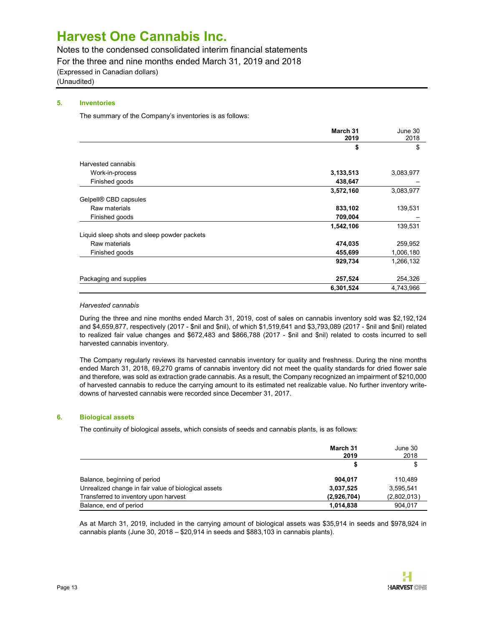Notes to the condensed consolidated interim financial statements

For the three and nine months ended March 31, 2019 and 2018

(Expressed in Canadian dollars)

(Unaudited)

# 5. Inventories

The summary of the Company's inventories is as follows:

|                                             | March 31<br>2019 | June 30<br>2018 |
|---------------------------------------------|------------------|-----------------|
|                                             | \$               | \$              |
| Harvested cannabis                          |                  |                 |
| Work-in-process                             | 3,133,513        | 3,083,977       |
| Finished goods                              | 438,647          |                 |
|                                             | 3,572,160        | 3,083,977       |
| Gelpell® CBD capsules                       |                  |                 |
| Raw materials                               | 833,102          | 139,531         |
| Finished goods                              | 709,004          |                 |
|                                             | 1,542,106        | 139,531         |
| Liquid sleep shots and sleep powder packets |                  |                 |
| Raw materials                               | 474,035          | 259,952         |
| Finished goods                              | 455,699          | 1,006,180       |
|                                             | 929,734          | 1,266,132       |
| Packaging and supplies                      | 257,524          | 254,326         |
|                                             | 6,301,524        | 4,743,966       |

### Harvested cannabis

During the three and nine months ended March 31, 2019, cost of sales on cannabis inventory sold was \$2,192,124 and \$4,659,877, respectively (2017 - \$nil and \$nil), of which \$1,519,641 and \$3,793,089 (2017 - \$nil and \$nil) related to realized fair value changes and \$672,483 and \$866,788 (2017 - \$nil and \$nil) related to costs incurred to sell harvested cannabis inventory.

The Company regularly reviews its harvested cannabis inventory for quality and freshness. During the nine months ended March 31, 2018, 69,270 grams of cannabis inventory did not meet the quality standards for dried flower sale and therefore, was sold as extraction grade cannabis. As a result, the Company recognized an impairment of \$210,000 of harvested cannabis to reduce the carrying amount to its estimated net realizable value. No further inventory writedowns of harvested cannabis were recorded since December 31, 2017.

# 6. Biological assets

The continuity of biological assets, which consists of seeds and cannabis plants, is as follows:

|                                                      | March 31<br>2019 | June 30<br>2018 |
|------------------------------------------------------|------------------|-----------------|
|                                                      |                  | \$              |
| Balance, beginning of period                         | 904.017          | 110.489         |
| Unrealized change in fair value of biological assets | 3,037,525        | 3.595.541       |
| Transferred to inventory upon harvest                | (2,926,704)      | (2,802,013)     |
| Balance, end of period                               | 1,014,838        | 904.017         |

As at March 31, 2019, included in the carrying amount of biological assets was \$35,914 in seeds and \$978,924 in cannabis plants (June 30, 2018 – \$20,914 in seeds and \$883,103 in cannabis plants).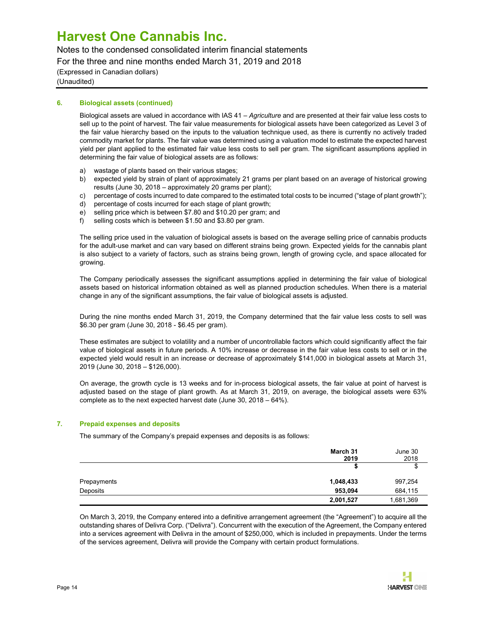Notes to the condensed consolidated interim financial statements

For the three and nine months ended March 31, 2019 and 2018

(Expressed in Canadian dollars) (Unaudited)

# 6. Biological assets (continued)

Biological assets are valued in accordance with IAS 41 - Agriculture and are presented at their fair value less costs to sell up to the point of harvest. The fair value measurements for biological assets have been categorized as Level 3 of the fair value hierarchy based on the inputs to the valuation technique used, as there is currently no actively traded commodity market for plants. The fair value was determined using a valuation model to estimate the expected harvest yield per plant applied to the estimated fair value less costs to sell per gram. The significant assumptions applied in determining the fair value of biological assets are as follows:

- a) wastage of plants based on their various stages;
- b) expected yield by strain of plant of approximately 21 grams per plant based on an average of historical growing results (June 30, 2018 – approximately 20 grams per plant);
- c) percentage of costs incurred to date compared to the estimated total costs to be incurred ("stage of plant growth");
- d) percentage of costs incurred for each stage of plant growth;
- e) selling price which is between \$7.80 and \$10.20 per gram; and
- f) selling costs which is between \$1.50 and \$3.80 per gram.

The selling price used in the valuation of biological assets is based on the average selling price of cannabis products for the adult-use market and can vary based on different strains being grown. Expected yields for the cannabis plant is also subject to a variety of factors, such as strains being grown, length of growing cycle, and space allocated for growing.

The Company periodically assesses the significant assumptions applied in determining the fair value of biological assets based on historical information obtained as well as planned production schedules. When there is a material change in any of the significant assumptions, the fair value of biological assets is adjusted.

During the nine months ended March 31, 2019, the Company determined that the fair value less costs to sell was \$6.30 per gram (June 30, 2018 - \$6.45 per gram).

These estimates are subject to volatility and a number of uncontrollable factors which could significantly affect the fair value of biological assets in future periods. A 10% increase or decrease in the fair value less costs to sell or in the expected yield would result in an increase or decrease of approximately \$141,000 in biological assets at March 31, 2019 (June 30, 2018 – \$126,000).

On average, the growth cycle is 13 weeks and for in-process biological assets, the fair value at point of harvest is adjusted based on the stage of plant growth. As at March 31, 2019, on average, the biological assets were 63% complete as to the next expected harvest date (June 30, 2018 – 64%).

## 7. Prepaid expenses and deposits

The summary of the Company's prepaid expenses and deposits is as follows:

|             | March 31<br>2019 | June 30<br>2018 |
|-------------|------------------|-----------------|
|             |                  |                 |
| Prepayments | 1,048,433        | 997,254         |
| Deposits    | 953.094          | 684,115         |
|             | 2,001,527        | 1,681,369       |

On March 3, 2019, the Company entered into a definitive arrangement agreement (the "Agreement") to acquire all the outstanding shares of Delivra Corp. ("Delivra"). Concurrent with the execution of the Agreement, the Company entered into a services agreement with Delivra in the amount of \$250,000, which is included in prepayments. Under the terms of the services agreement, Delivra will provide the Company with certain product formulations.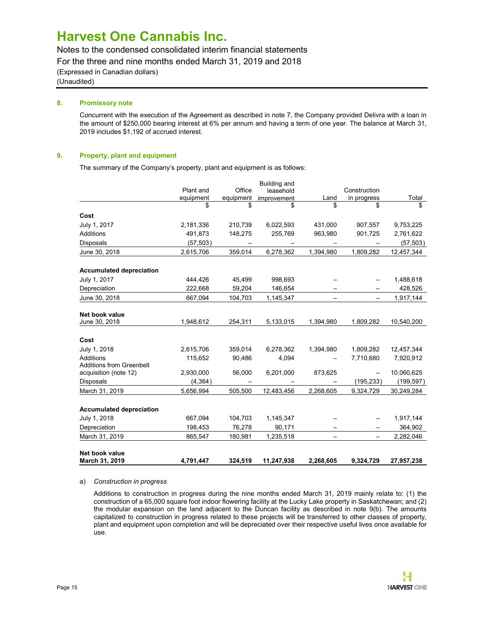Notes to the condensed consolidated interim financial statements

For the three and nine months ended March 31, 2019 and 2018

(Expressed in Canadian dollars) (Unaudited)

# 8. Promissory note

Concurrent with the execution of the Agreement as described in note 7, the Company provided Delivra with a loan in the amount of \$250,000 bearing interest at 6% per annum and having a term of one year. The balance at March 31, 2019 includes \$1,192 of accrued interest.

# 9. Property, plant and equipment

The summary of the Company's property, plant and equipment is as follows:

| Net book value<br>March 31, 2019                         | 4.791.447 | 324.519   | 11,247,938   | 2,268,605 | 9.324.729    | 27,957,238 |
|----------------------------------------------------------|-----------|-----------|--------------|-----------|--------------|------------|
| March 31, 2019                                           | 865,547   | 180,981   | 1,235,518    |           |              | 2,282,046  |
| Depreciation                                             | 198,453   | 76,278    | 90,171       |           |              | 364,902    |
| July 1, 2018                                             | 667,094   | 104,703   | 1,145,347    |           |              | 1,917,144  |
| <b>Accumulated depreciation</b>                          |           |           |              |           |              |            |
| March 31, 2019                                           | 5,656,994 | 505,500   | 12,483,456   | 2,268,605 | 9,324,729    | 30,249,284 |
| <b>Disposals</b>                                         | (4, 364)  |           |              |           | (195, 233)   | (199, 597) |
| <b>Additions from Greenbelt</b><br>acquisition (note 12) | 2,930,000 | 56,000    | 6,201,000    | 873,625   |              | 10,060,625 |
| <b>Additions</b>                                         | 115,652   | 90,486    | 4,094        |           | 7,710,680    | 7,920,912  |
| Cost<br>July 1, 2018                                     | 2,615,706 | 359,014   | 6,278,362    | 1,394,980 | 1,809,282    | 12,457,344 |
| Net book value<br>June 30, 2018                          | 1,948,612 | 254,311   | 5,133,015    | 1,394,980 | 1,809,282    | 10,540,200 |
| June 30, 2018                                            | 667,094   | 104,703   | 1,145,347    |           |              | 1,917,144  |
| Depreciation                                             | 222,668   | 59,204    | 146,654      |           |              | 428,526    |
| July 1, 2017                                             | 444,426   | 45,499    | 998,693      |           |              | 1,488,618  |
| <b>Accumulated depreciation</b>                          |           |           |              |           |              |            |
| June 30, 2018                                            | 2,615,706 | 359,014   | 6,278,362    | 1,394,980 | 1,809,282    | 12,457,344 |
| <b>Disposals</b>                                         | (57, 503) |           |              |           |              | (57, 503)  |
| <b>Additions</b>                                         | 491,873   | 148,275   | 255,769      | 963,980   | 901,725      | 2,761,622  |
| Cost<br>July 1, 2017                                     | 2,181,336 | 210,739   | 6,022,593    | 431,000   | 907,557      | 9,753,225  |
|                                                          | \$        | \$        | \$           | \$        | \$           | \$         |
|                                                          | equipment | equipment | improvement  | Land      | in progress  | Total      |
|                                                          | Plant and | Office    | leasehold    |           | Construction |            |
|                                                          |           |           | Building and |           |              |            |

#### a) Construction in progress

Additions to construction in progress during the nine months ended March 31, 2019 mainly relate to: (1) the construction of a 65,000 square foot indoor flowering facility at the Lucky Lake property in Saskatchewan; and (2) the modular expansion on the land adjacent to the Duncan facility as described in note 9(b). The amounts capitalized to construction in progress related to these projects will be transferred to other classes of property, plant and equipment upon completion and will be depreciated over their respective useful lives once available for use.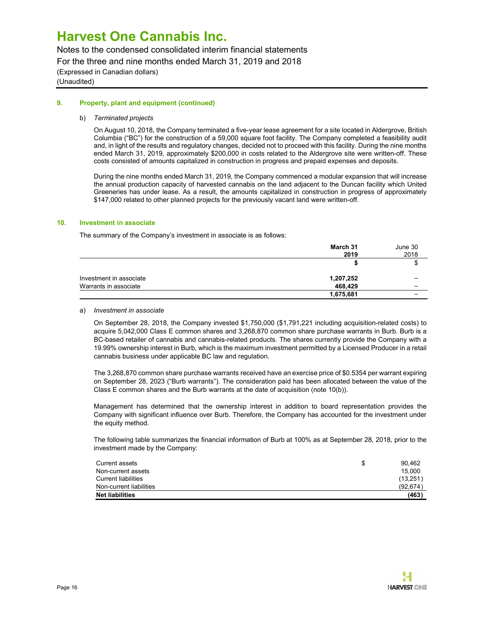Notes to the condensed consolidated interim financial statements

For the three and nine months ended March 31, 2019 and 2018

(Expressed in Canadian dollars) (Unaudited)

## 9. Property, plant and equipment (continued)

## b) Terminated projects

On August 10, 2018, the Company terminated a five-year lease agreement for a site located in Aldergrove, British Columbia ("BC") for the construction of a 59,000 square foot facility. The Company completed a feasibility audit and, in light of the results and regulatory changes, decided not to proceed with this facility. During the nine months ended March 31, 2019, approximately \$200,000 in costs related to the Aldergrove site were written-off. These costs consisted of amounts capitalized in construction in progress and prepaid expenses and deposits.

During the nine months ended March 31, 2019, the Company commenced a modular expansion that will increase the annual production capacity of harvested cannabis on the land adjacent to the Duncan facility which United Greeneries has under lease. As a result, the amounts capitalized in construction in progress of approximately \$147,000 related to other planned projects for the previously vacant land were written-off.

## 10. Investment in associate

The summary of the Company's investment in associate is as follows:

|                         | March 31<br>2019 | June 30<br>2018 |
|-------------------------|------------------|-----------------|
|                         |                  | Ф               |
| Investment in associate | 1,207,252        |                 |
| Warrants in associate   | 468,429          |                 |
|                         | 1,675,681        |                 |

## a) Investment in associate

On September 28, 2018, the Company invested \$1,750,000 (\$1,791,221 including acquisition-related costs) to acquire 5,042,000 Class E common shares and 3,268,870 common share purchase warrants in Burb. Burb is a BC-based retailer of cannabis and cannabis-related products. The shares currently provide the Company with a 19.99% ownership interest in Burb, which is the maximum investment permitted by a Licensed Producer in a retail cannabis business under applicable BC law and regulation.

The 3,268,870 common share purchase warrants received have an exercise price of \$0.5354 per warrant expiring on September 28, 2023 ("Burb warrants"). The consideration paid has been allocated between the value of the Class E common shares and the Burb warrants at the date of acquisition (note 10(b)).

Management has determined that the ownership interest in addition to board representation provides the Company with significant influence over Burb. Therefore, the Company has accounted for the investment under the equity method.

The following table summarizes the financial information of Burb at 100% as at September 28, 2018, prior to the investment made by the Company:

| Current assets             | \$<br>90.462 |
|----------------------------|--------------|
| Non-current assets         | 15.000       |
| <b>Current liabilities</b> | (13, 251)    |
| Non-current liabilities    | (92.674)     |
| <b>Net liabilities</b>     | (463)        |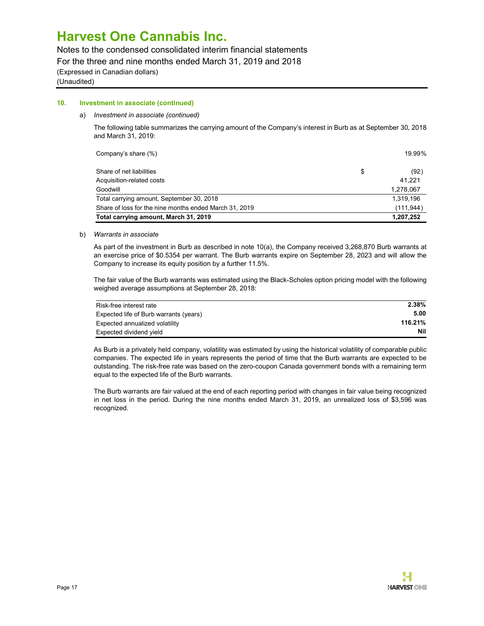Notes to the condensed consolidated interim financial statements

For the three and nine months ended March 31, 2019 and 2018

(Expressed in Canadian dollars)

(Unaudited)

### 10. Investment in associate (continued)

#### a) Investment in associate (continued)

The following table summarizes the carrying amount of the Company's interest in Burb as at September 30, 2018 and March 31, 2019:

 $\text{Company's share } (\%)$  19.99%

| Share of net liabilities                               | (92)                |
|--------------------------------------------------------|---------------------|
| Acquisition-related costs<br>Goodwill                  | 41.221<br>1,278,067 |
| Total carrying amount, September 30, 2018              | 1,319,196           |
| Share of loss for the nine months ended March 31, 2019 | (111, 944)          |
| Total carrying amount, March 31, 2019                  | 1,207,252           |

#### b) Warrants in associate

As part of the investment in Burb as described in note 10(a), the Company received 3,268,870 Burb warrants at an exercise price of \$0.5354 per warrant. The Burb warrants expire on September 28, 2023 and will allow the Company to increase its equity position by a further 11.5%.

The fair value of the Burb warrants was estimated using the Black-Scholes option pricing model with the following weighed average assumptions at September 28, 2018:

| Risk-free interest rate                | 2.38%   |
|----------------------------------------|---------|
| Expected life of Burb warrants (years) | 5.00    |
| Expected annualized volatility         | 116.21% |
| Expected dividend yield                | Nil     |

As Burb is a privately held company, volatility was estimated by using the historical volatility of comparable public companies. The expected life in years represents the period of time that the Burb warrants are expected to be outstanding. The risk-free rate was based on the zero-coupon Canada government bonds with a remaining term equal to the expected life of the Burb warrants.

The Burb warrants are fair valued at the end of each reporting period with changes in fair value being recognized in net loss in the period. During the nine months ended March 31, 2019, an unrealized loss of \$3,596 was recognized.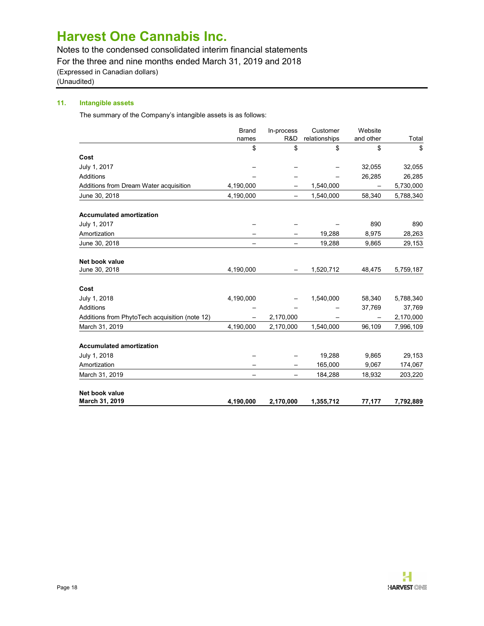Notes to the condensed consolidated interim financial statements

For the three and nine months ended March 31, 2019 and 2018

(Expressed in Canadian dollars)

(Unaudited)

# 11. Intangible assets

The summary of the Company's intangible assets is as follows:

|                                                | <b>Brand</b> | In-process<br>R&D        | Customer            | Website         |             |
|------------------------------------------------|--------------|--------------------------|---------------------|-----------------|-------------|
|                                                | names<br>\$  | \$                       | relationships<br>\$ | and other<br>\$ | Total<br>\$ |
| Cost                                           |              |                          |                     |                 |             |
| July 1, 2017                                   |              |                          |                     | 32,055          | 32,055      |
| Additions                                      |              |                          |                     | 26,285          | 26,285      |
| Additions from Dream Water acquisition         | 4,190,000    |                          | 1,540,000           |                 | 5,730,000   |
| June 30, 2018                                  | 4,190,000    |                          | 1,540,000           | 58,340          | 5,788,340   |
| <b>Accumulated amortization</b>                |              |                          |                     |                 |             |
| July 1, 2017                                   |              |                          |                     | 890             | 890         |
| Amortization                                   |              |                          | 19,288              | 8,975           | 28,263      |
| June 30, 2018                                  |              | $\overline{\phantom{0}}$ | 19,288              | 9,865           | 29,153      |
| Net book value                                 |              |                          |                     |                 |             |
| June 30, 2018                                  | 4,190,000    |                          | 1,520,712           | 48,475          | 5,759,187   |
| Cost                                           |              |                          |                     |                 |             |
| July 1, 2018                                   | 4,190,000    |                          | 1,540,000           | 58,340          | 5,788,340   |
| <b>Additions</b>                               |              |                          |                     | 37,769          | 37,769      |
| Additions from PhytoTech acquisition (note 12) |              | 2,170,000                |                     |                 | 2,170,000   |
| March 31, 2019                                 | 4,190,000    | 2,170,000                | 1,540,000           | 96,109          | 7,996,109   |
| <b>Accumulated amortization</b>                |              |                          |                     |                 |             |
| July 1, 2018                                   |              |                          | 19,288              | 9,865           | 29,153      |
| Amortization                                   |              |                          | 165,000             | 9,067           | 174,067     |
| March 31, 2019                                 |              | —                        | 184,288             | 18,932          | 203,220     |
| Net book value                                 |              |                          |                     |                 |             |
| March 31, 2019                                 | 4,190,000    | 2,170,000                | 1,355,712           | 77,177          | 7,792,889   |

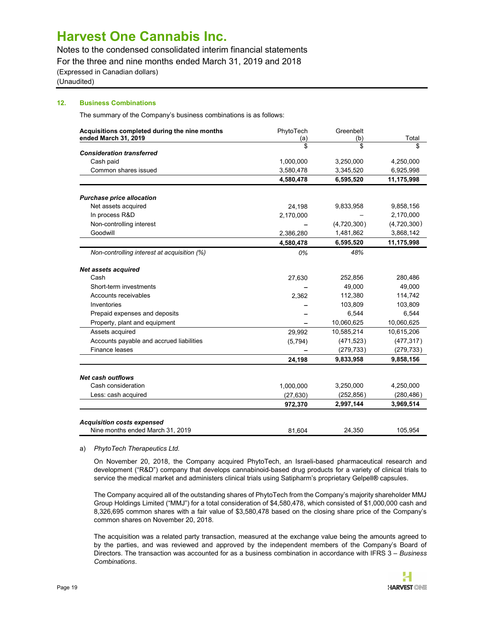Notes to the condensed consolidated interim financial statements

For the three and nine months ended March 31, 2019 and 2018

(Expressed in Canadian dollars)

(Unaudited)

## 12. Business Combinations

The summary of the Company's business combinations is as follows:

| Acquisitions completed during the nine months           | PhytoTech | Greenbelt   |             |
|---------------------------------------------------------|-----------|-------------|-------------|
| ended March 31, 2019                                    | (a)       | (b)         | Total       |
| <b>Consideration transferred</b>                        | \$        | \$          | \$          |
| Cash paid                                               | 1,000,000 | 3,250,000   | 4,250,000   |
| Common shares issued                                    | 3,580,478 | 3,345,520   | 6,925,998   |
|                                                         | 4,580,478 | 6,595,520   | 11,175,998  |
|                                                         |           |             |             |
| <b>Purchase price allocation</b><br>Net assets acquired | 24,198    | 9,833,958   | 9,858,156   |
| In process R&D                                          | 2,170,000 |             | 2,170,000   |
| Non-controlling interest                                |           | (4,720,300) | (4,720,300) |
| Goodwill                                                | 2,386,280 | 1,481,862   | 3,868,142   |
|                                                         | 4,580,478 | 6,595,520   | 11,175,998  |
| Non-controlling interest at acquisition (%)             | 0%        | 48%         |             |
| Net assets acquired                                     |           |             |             |
| Cash                                                    | 27,630    | 252,856     | 280,486     |
| Short-term investments                                  |           | 49,000      | 49,000      |
| Accounts receivables                                    | 2,362     | 112,380     | 114,742     |
| Inventories                                             |           | 103,809     | 103,809     |
| Prepaid expenses and deposits                           |           | 6,544       | 6,544       |
| Property, plant and equipment                           |           | 10,060,625  | 10,060,625  |
| Assets acquired                                         | 29,992    | 10,585,214  | 10,615,206  |
| Accounts payable and accrued liabilities                | (5,794)   | (471, 523)  | (477, 317)  |
| Finance leases                                          |           | (279, 733)  | (279, 733)  |
|                                                         | 24,198    | 9,833,958   | 9,858,156   |
| <b>Net cash outflows</b>                                |           |             |             |
| Cash consideration                                      | 1,000,000 | 3,250,000   | 4,250,000   |
| Less: cash acquired                                     | (27, 630) | (252, 856)  | (280, 486)  |
|                                                         | 972,370   | 2,997,144   | 3,969,514   |
| <b>Acquisition costs expensed</b>                       |           |             |             |
| Nine months ended March 31, 2019                        | 81.604    | 24.350      | 105,954     |

#### a) PhytoTech Therapeutics Ltd.

On November 20, 2018, the Company acquired PhytoTech, an Israeli-based pharmaceutical research and development ("R&D") company that develops cannabinoid-based drug products for a variety of clinical trials to service the medical market and administers clinical trials using Satipharm's proprietary Gelpell® capsules.

The Company acquired all of the outstanding shares of PhytoTech from the Company's majority shareholder MMJ Group Holdings Limited ("MMJ") for a total consideration of \$4,580,478, which consisted of \$1,000,000 cash and 8,326,695 common shares with a fair value of \$3,580,478 based on the closing share price of the Company's common shares on November 20, 2018.

The acquisition was a related party transaction, measured at the exchange value being the amounts agreed to by the parties, and was reviewed and approved by the independent members of the Company's Board of Directors. The transaction was accounted for as a business combination in accordance with IFRS 3 - Business Combinations.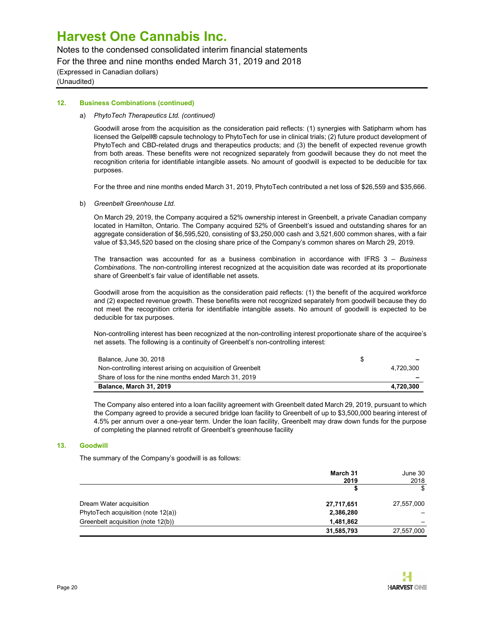Notes to the condensed consolidated interim financial statements

For the three and nine months ended March 31, 2019 and 2018

(Expressed in Canadian dollars) (Unaudited)

## 12. Business Combinations (continued)

### a) PhytoTech Therapeutics Ltd. (continued)

Goodwill arose from the acquisition as the consideration paid reflects: (1) synergies with Satipharm whom has licensed the Gelpell® capsule technology to PhytoTech for use in clinical trials; (2) future product development of PhytoTech and CBD-related drugs and therapeutics products; and (3) the benefit of expected revenue growth from both areas. These benefits were not recognized separately from goodwill because they do not meet the recognition criteria for identifiable intangible assets. No amount of goodwill is expected to be deducible for tax purposes.

For the three and nine months ended March 31, 2019, PhytoTech contributed a net loss of \$26,559 and \$35,666.

b) Greenbelt Greenhouse Ltd.

On March 29, 2019, the Company acquired a 52% ownership interest in Greenbelt, a private Canadian company located in Hamilton, Ontario. The Company acquired 52% of Greenbelt's issued and outstanding shares for an aggregate consideration of \$6,595,520, consisting of \$3,250,000 cash and 3,521,600 common shares, with a fair value of \$3,345,520 based on the closing share price of the Company's common shares on March 29, 2019.

The transaction was accounted for as a business combination in accordance with IFRS  $3 -$  Business Combinations. The non-controlling interest recognized at the acquisition date was recorded at its proportionate share of Greenbelt's fair value of identifiable net assets.

Goodwill arose from the acquisition as the consideration paid reflects: (1) the benefit of the acquired workforce and (2) expected revenue growth. These benefits were not recognized separately from goodwill because they do not meet the recognition criteria for identifiable intangible assets. No amount of goodwill is expected to be deducible for tax purposes.

Non-controlling interest has been recognized at the non-controlling interest proportionate share of the acquiree's net assets. The following is a continuity of Greenbelt's non-controlling interest:

| Balance, June 30, 2018                                       | S. | $\overline{\phantom{0}}$ |
|--------------------------------------------------------------|----|--------------------------|
| Non-controlling interest arising on acquisition of Greenbelt |    | 4.720.300                |
| Share of loss for the nine months ended March 31, 2019       |    |                          |
| Balance, March 31, 2019                                      |    | 4.720.300                |

The Company also entered into a loan facility agreement with Greenbelt dated March 29, 2019, pursuant to which the Company agreed to provide a secured bridge loan facility to Greenbelt of up to \$3,500,000 bearing interest of 4.5% per annum over a one-year term. Under the loan facility, Greenbelt may draw down funds for the purpose of completing the planned retrofit of Greenbelt's greenhouse facility

## 13. Goodwill

The summary of the Company's goodwill is as follows:

|                                    | March 31<br>2019 | June 30<br>2018 |
|------------------------------------|------------------|-----------------|
|                                    |                  | \$              |
| Dream Water acquisition            | 27,717,651       | 27,557,000      |
| PhytoTech acquisition (note 12(a)) | 2,386,280        |                 |
| Greenbelt acquisition (note 12(b)) | 1,481,862        |                 |
|                                    | 31,585,793       | 27,557,000      |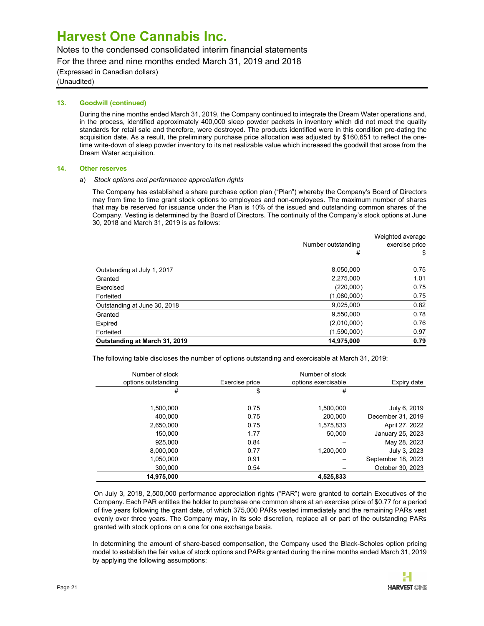Notes to the condensed consolidated interim financial statements

For the three and nine months ended March 31, 2019 and 2018

(Expressed in Canadian dollars)

(Unaudited)

### 13. Goodwill (continued)

During the nine months ended March 31, 2019, the Company continued to integrate the Dream Water operations and, in the process, identified approximately 400,000 sleep powder packets in inventory which did not meet the quality standards for retail sale and therefore, were destroyed. The products identified were in this condition pre-dating the acquisition date. As a result, the preliminary purchase price allocation was adjusted by \$160,651 to reflect the onetime write-down of sleep powder inventory to its net realizable value which increased the goodwill that arose from the Dream Water acquisition.

### 14. Other reserves

### a) Stock options and performance appreciation rights

The Company has established a share purchase option plan ("Plan") whereby the Company's Board of Directors may from time to time grant stock options to employees and non-employees. The maximum number of shares that may be reserved for issuance under the Plan is 10% of the issued and outstanding common shares of the Company. Vesting is determined by the Board of Directors. The continuity of the Company's stock options at June 30, 2018 and March 31, 2019 is as follows:

|                               | Number outstanding | Weighted average<br>exercise price |
|-------------------------------|--------------------|------------------------------------|
|                               | #                  | \$                                 |
| Outstanding at July 1, 2017   | 8,050,000          | 0.75                               |
| Granted                       | 2,275,000          | 1.01                               |
| Exercised                     | (220,000)          | 0.75                               |
| Forfeited                     | (1,080,000)        | 0.75                               |
| Outstanding at June 30, 2018  | 9,025,000          | 0.82                               |
| Granted                       | 9,550,000          | 0.78                               |
| Expired                       | (2,010,000)        | 0.76                               |
| Forfeited                     | (1,590,000)        | 0.97                               |
| Outstanding at March 31, 2019 | 14,975,000         | 0.79                               |

The following table discloses the number of options outstanding and exercisable at March 31, 2019:

| Number of stock     |                | Number of stock     |                    |
|---------------------|----------------|---------------------|--------------------|
| options outstanding | Exercise price | options exercisable | Expiry date        |
| #                   | \$             | #                   |                    |
|                     |                |                     |                    |
| 1,500,000           | 0.75           | 1,500,000           | July 6, 2019       |
| 400.000             | 0.75           | 200.000             | December 31, 2019  |
| 2,650,000           | 0.75           | 1,575,833           | April 27, 2022     |
| 150,000             | 1.77           | 50,000              | January 25, 2023   |
| 925.000             | 0.84           |                     | May 28, 2023       |
| 8.000.000           | 0.77           | 1.200.000           | July 3, 2023       |
| 1,050,000           | 0.91           |                     | September 18, 2023 |
| 300,000             | 0.54           |                     | October 30, 2023   |
| 14,975,000          |                | 4,525,833           |                    |

On July 3, 2018, 2,500,000 performance appreciation rights ("PAR") were granted to certain Executives of the Company. Each PAR entitles the holder to purchase one common share at an exercise price of \$0.77 for a period of five years following the grant date, of which 375,000 PARs vested immediately and the remaining PARs vest evenly over three years. The Company may, in its sole discretion, replace all or part of the outstanding PARs granted with stock options on a one for one exchange basis.

In determining the amount of share-based compensation, the Company used the Black-Scholes option pricing model to establish the fair value of stock options and PARs granted during the nine months ended March 31, 2019 by applying the following assumptions: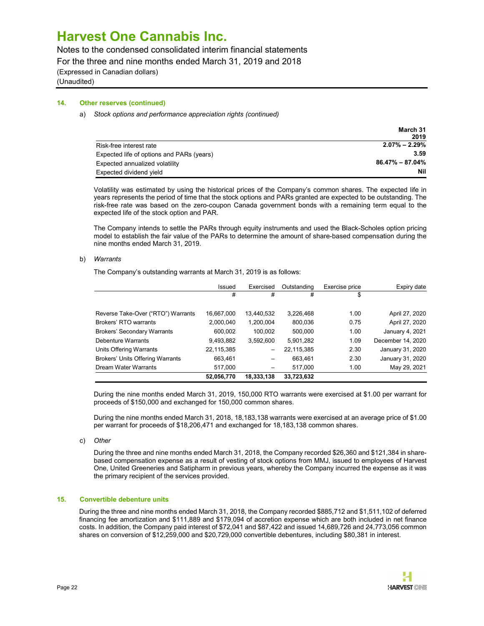Notes to the condensed consolidated interim financial statements

For the three and nine months ended March 31, 2019 and 2018

(Expressed in Canadian dollars)

(Unaudited)

## 14. Other reserves (continued)

#### a) Stock options and performance appreciation rights (continued)

|                                           | March 31            |
|-------------------------------------------|---------------------|
|                                           | 2019                |
| Risk-free interest rate                   | $2.07\% - 2.29\%$   |
| Expected life of options and PARs (years) | 3.59                |
| Expected annualized volatility            | $86.47\% - 87.04\%$ |
| Expected dividend yield                   | Nil                 |

Volatility was estimated by using the historical prices of the Company's common shares. The expected life in years represents the period of time that the stock options and PARs granted are expected to be outstanding. The risk-free rate was based on the zero-coupon Canada government bonds with a remaining term equal to the expected life of the stock option and PAR.

The Company intends to settle the PARs through equity instruments and used the Black-Scholes option pricing model to establish the fair value of the PARs to determine the amount of share-based compensation during the nine months ended March 31, 2019.

### b) Warrants

The Company's outstanding warrants at March 31, 2019 is as follows:

|                                         | Issued     | Exercised       | Outstanding | Exercise price | Expiry date       |
|-----------------------------------------|------------|-----------------|-------------|----------------|-------------------|
|                                         | #          | #               | #           | \$             |                   |
|                                         |            |                 |             |                |                   |
| Reverse Take-Over ("RTO") Warrants      | 16,667,000 | 13,440,532      | 3,226,468   | 1.00           | April 27, 2020    |
| Brokers' RTO warrants                   | 2,000,040  | 1,200,004       | 800.036     | 0.75           | April 27, 2020    |
| <b>Brokers' Secondary Warrants</b>      | 600,002    | 100.002         | 500.000     | 1.00           | January 4, 2021   |
| Debenture Warrants                      | 9,493,882  | 3.592.600       | 5,901,282   | 1.09           | December 14, 2020 |
| Units Offering Warrants                 | 22,115,385 | $\qquad \qquad$ | 22,115,385  | 2.30           | January 31, 2020  |
| <b>Brokers' Units Offering Warrants</b> | 663.461    |                 | 663.461     | 2.30           | January 31, 2020  |
| <b>Dream Water Warrants</b>             | 517,000    |                 | 517,000     | 1.00           | May 29, 2021      |
|                                         | 52,056,770 | 18,333,138      | 33,723,632  |                |                   |

During the nine months ended March 31, 2019, 150,000 RTO warrants were exercised at \$1.00 per warrant for proceeds of \$150,000 and exchanged for 150,000 common shares.

During the nine months ended March 31, 2018, 18,183,138 warrants were exercised at an average price of \$1.00 per warrant for proceeds of \$18,206,471 and exchanged for 18,183,138 common shares.

c) Other

During the three and nine months ended March 31, 2018, the Company recorded \$26,360 and \$121,384 in sharebased compensation expense as a result of vesting of stock options from MMJ, issued to employees of Harvest One, United Greeneries and Satipharm in previous years, whereby the Company incurred the expense as it was the primary recipient of the services provided.

## 15. Convertible debenture units

During the three and nine months ended March 31, 2018, the Company recorded \$885,712 and \$1,511,102 of deferred financing fee amortization and \$111,889 and \$179,094 of accretion expense which are both included in net finance costs. In addition, the Company paid interest of \$72,041 and \$87,422 and issued 14,689,726 and 24,773,056 common shares on conversion of \$12,259,000 and \$20,729,000 convertible debentures, including \$80,381 in interest.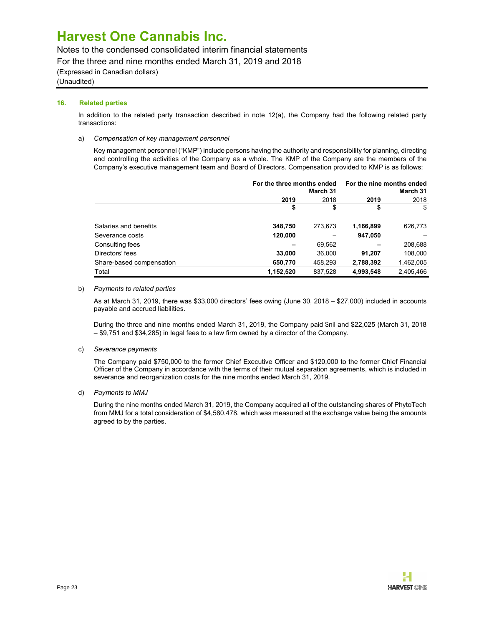Notes to the condensed consolidated interim financial statements

For the three and nine months ended March 31, 2019 and 2018

(Expressed in Canadian dollars)

(Unaudited)

## 16. Related parties

In addition to the related party transaction described in note 12(a), the Company had the following related party transactions:

### a) Compensation of key management personnel

Key management personnel ("KMP") include persons having the authority and responsibility for planning, directing and controlling the activities of the Company as a whole. The KMP of the Company are the members of the Company's executive management team and Board of Directors. Compensation provided to KMP is as follows:

|                          |           | For the three months ended<br>March 31 |           | For the nine months ended<br>March 31 |  |  |
|--------------------------|-----------|----------------------------------------|-----------|---------------------------------------|--|--|
|                          | 2019      | 2018                                   |           | 2018                                  |  |  |
|                          |           | S                                      |           |                                       |  |  |
| Salaries and benefits    | 348,750   | 273,673                                | 1,166,899 | 626,773                               |  |  |
| Severance costs          | 120,000   | -                                      | 947,050   |                                       |  |  |
| Consulting fees          | -         | 69,562                                 |           | 208,688                               |  |  |
| Directors' fees          | 33,000    | 36,000                                 | 91,207    | 108.000                               |  |  |
| Share-based compensation | 650,770   | 458,293                                | 2,788,392 | 1,462,005                             |  |  |
| Total                    | 1,152,520 | 837,528                                | 4,993,548 | 2,405,466                             |  |  |

#### b) Payments to related parties

As at March 31, 2019, there was \$33,000 directors' fees owing (June 30, 2018 – \$27,000) included in accounts payable and accrued liabilities.

During the three and nine months ended March 31, 2019, the Company paid \$nil and \$22,025 (March 31, 2018 – \$9,751 and \$34,285) in legal fees to a law firm owned by a director of the Company.

## c) Severance payments

The Company paid \$750,000 to the former Chief Executive Officer and \$120,000 to the former Chief Financial Officer of the Company in accordance with the terms of their mutual separation agreements, which is included in severance and reorganization costs for the nine months ended March 31, 2019.

d) Payments to MMJ

During the nine months ended March 31, 2019, the Company acquired all of the outstanding shares of PhytoTech from MMJ for a total consideration of \$4,580,478, which was measured at the exchange value being the amounts agreed to by the parties.

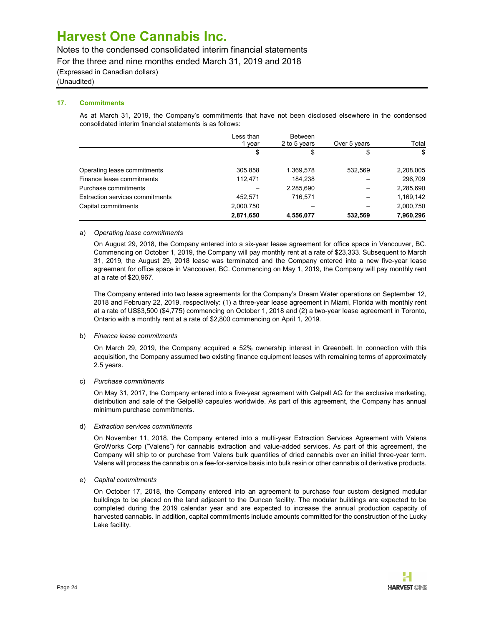Notes to the condensed consolidated interim financial statements

For the three and nine months ended March 31, 2019 and 2018

(Expressed in Canadian dollars)

(Unaudited)

## 17. Commitments

As at March 31, 2019, the Company's commitments that have not been disclosed elsewhere in the condensed consolidated interim financial statements is as follows:

|                                 | Less than<br>vear | <b>Between</b><br>2 to 5 years | Over 5 years             | Total     |
|---------------------------------|-------------------|--------------------------------|--------------------------|-----------|
|                                 | \$                | \$                             | \$                       | \$        |
| Operating lease commitments     | 305,858           | 1,369,578                      | 532.569                  | 2,208,005 |
| Finance lease commitments       | 112.471           | 184,238                        |                          | 296,709   |
| Purchase commitments            |                   | 2,285,690                      | -                        | 2,285,690 |
| Extraction services commitments | 452,571           | 716.571                        | $\overline{\phantom{m}}$ | 1,169,142 |
| Capital commitments             | 2,000,750         |                                |                          | 2,000,750 |
|                                 | 2,871,650         | 4,556,077                      | 532.569                  | 7,960,296 |

### a) Operating lease commitments

On August 29, 2018, the Company entered into a six-year lease agreement for office space in Vancouver, BC. Commencing on October 1, 2019, the Company will pay monthly rent at a rate of \$23,333. Subsequent to March 31, 2019, the August 29, 2018 lease was terminated and the Company entered into a new five-year lease agreement for office space in Vancouver, BC. Commencing on May 1, 2019, the Company will pay monthly rent at a rate of \$20,967.

The Company entered into two lease agreements for the Company's Dream Water operations on September 12, 2018 and February 22, 2019, respectively: (1) a three-year lease agreement in Miami, Florida with monthly rent at a rate of US\$3,500 (\$4,775) commencing on October 1, 2018 and (2) a two-year lease agreement in Toronto, Ontario with a monthly rent at a rate of \$2,800 commencing on April 1, 2019.

## b) Finance lease commitments

On March 29, 2019, the Company acquired a 52% ownership interest in Greenbelt. In connection with this acquisition, the Company assumed two existing finance equipment leases with remaining terms of approximately 2.5 years.

## c) Purchase commitments

On May 31, 2017, the Company entered into a five-year agreement with Gelpell AG for the exclusive marketing, distribution and sale of the Gelpell® capsules worldwide. As part of this agreement, the Company has annual minimum purchase commitments.

#### d) Extraction services commitments

On November 11, 2018, the Company entered into a multi-year Extraction Services Agreement with Valens GroWorks Corp ("Valens") for cannabis extraction and value-added services. As part of this agreement, the Company will ship to or purchase from Valens bulk quantities of dried cannabis over an initial three-year term. Valens will process the cannabis on a fee-for-service basis into bulk resin or other cannabis oil derivative products.

## e) Capital commitments

On October 17, 2018, the Company entered into an agreement to purchase four custom designed modular buildings to be placed on the land adjacent to the Duncan facility. The modular buildings are expected to be completed during the 2019 calendar year and are expected to increase the annual production capacity of harvested cannabis. In addition, capital commitments include amounts committed for the construction of the Lucky Lake facility.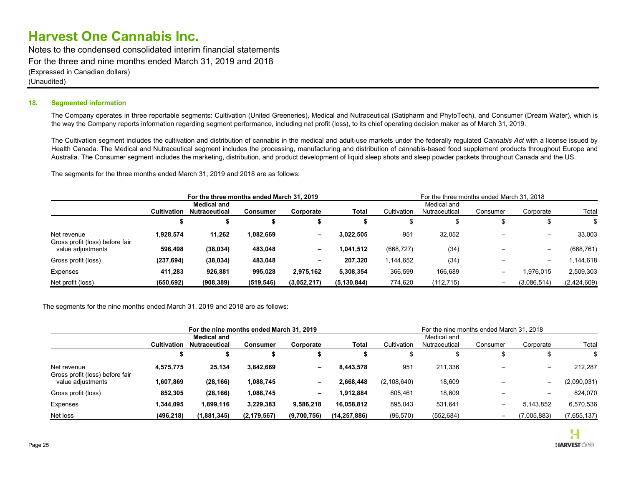Notes to the condensed consolidated interim financial statements For the three and nine months ended March 31, 2019 and 2018 (Expressed in Canadian dollars) (Unaudited)

### 18. Segmented information

The Company operates in three reportable segments: Cultivation (United Greeneries), Medical and Nutraceutical (Satipharm and PhytoTech), and Consumer (Dream Water), which is the way the Company reports information regarding segment performance, including net profit (loss), to its chief operating decision maker as of March 31, 2019.

The Cultivation segment includes the cultivation and distribution of cannabis in the medical and adult-use markets under the federally regulated Cannabis Act with a license issued by Health Canada. The Medical and Nutraceutical segment includes the processing, manufacturing and distribution of cannabis-based food supplement products throughout Europe and Australia. The Consumer segment includes the marketing, distribution, and product development of liquid sleep shots and sleep powder packets throughout Canada and the US.

The segments for the three months ended March 31, 2019 and 2018 are as follows:

|                                                |                                                                                                  | For the three months ended March 31, 2019 |            |                                                                                        |               |            | For the three months ended March 31, 2018 |                          |                          |             |
|------------------------------------------------|--------------------------------------------------------------------------------------------------|-------------------------------------------|------------|----------------------------------------------------------------------------------------|---------------|------------|-------------------------------------------|--------------------------|--------------------------|-------------|
|                                                | <b>Medical and</b><br><b>Cultivation</b><br><b>Nutraceutical</b><br>Corporate<br><b>Consumer</b> |                                           |            | Medical and<br>Cultivation<br>Total<br>Total<br>Nutraceutical<br>Consumer<br>Corporate |               |            |                                           |                          |                          |             |
|                                                |                                                                                                  |                                           |            |                                                                                        |               |            |                                           |                          |                          |             |
| Net revenue<br>Gross profit (loss) before fair | 1,928,574                                                                                        | 11,262                                    | 1,082,669  | $\sim$                                                                                 | 3.022.505     | 951        | 32,052                                    |                          | $\overline{\phantom{0}}$ | 33,003      |
| value adjustments                              | 596,498                                                                                          | (38, 034)                                 | 483,048    | $\overline{\phantom{0}}$                                                               | 1,041,512     | (668, 727) | (34)                                      |                          |                          | (668, 761)  |
| Gross profit (loss)                            | (237, 694)                                                                                       | (38, 034)                                 | 483,048    | $\sim$                                                                                 | 207,320       | 1,144,652  | (34)                                      |                          | $\overline{\phantom{0}}$ | .144,618    |
| Expenses                                       | 411.283                                                                                          | 926,881                                   | 995,028    | 2.975.162                                                                              | 5,308,354     | 366,599    | 166,689                                   | $\overline{\phantom{0}}$ | 1,976,015                | 2,509,303   |
| Net profit (loss)                              | (650, 692)                                                                                       | (908, 389)                                | (519, 546) | (3,052,217)                                                                            | (5, 130, 844) | 774,620    | (112, 715)                                |                          | (3,086,514)              | (2,424,609) |

The segments for the nine months ended March 31, 2019 and 2018 are as follows:

|                                                |                                                                                           | For the nine months ended March 31, 2019 |               |                          |                                                                      |               | For the nine months ended March 31, 2018 |                   |                          |             |
|------------------------------------------------|-------------------------------------------------------------------------------------------|------------------------------------------|---------------|--------------------------|----------------------------------------------------------------------|---------------|------------------------------------------|-------------------|--------------------------|-------------|
|                                                | <b>Medical and</b><br><b>Cultivation</b><br>Nutraceutical<br><b>Consumer</b><br>Corporate |                                          |               | Total                    | Medical and<br>Cultivation<br>Consumer<br>Nutraceutical<br>Corporate |               |                                          |                   |                          |             |
|                                                |                                                                                           |                                          |               |                          |                                                                      | æ             |                                          |                   | Ф                        |             |
| Net revenue<br>Gross profit (loss) before fair | 4,575,775                                                                                 | 25,134                                   | 3,842,669     | $\overline{\phantom{a}}$ | 8,443,578                                                            | 951           | 211,336                                  | $\qquad \qquad$   |                          | 212,287     |
| value adjustments                              | 1,607,869                                                                                 | (28, 166)                                | 1,088,745     | $\overline{\phantom{a}}$ | 2.668.448                                                            | (2, 108, 640) | 18,609                                   |                   | $\overline{\phantom{0}}$ | (2,090,031) |
| Gross profit (loss)                            | 852,305                                                                                   | (28, 166)                                | 1,088,745     | $\overline{\phantom{a}}$ | 1,912,884                                                            | 805,461       | 18,609                                   | -                 |                          | 824,070     |
| Expenses                                       | 1,344,095                                                                                 | 1,899,116                                | 3,229,383     | 9,586,218                | 16,058,812                                                           | 895,043       | 531,641                                  | $\qquad \qquad -$ | 5,143,852                | 6,570,536   |
| Net loss                                       | (496, 218)                                                                                | (1,881,345)                              | (2, 179, 567) | (9,700,756)              | (14, 257, 886)                                                       | (96, 570)     | (552, 684)                               |                   | (7,005,883)              | (7,655,137) |